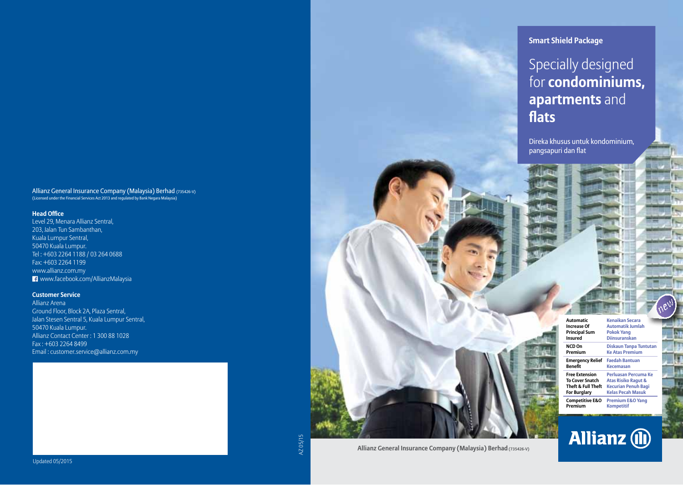Allianz General Insurance Company (Malaysia) Berhad (735426-V) (Licensed under the Financial Services Act 2013 and regulated by Bank Negara Malaysia)

#### **Head Office**

Level 29, Menara Allianz Sentral, 203, Jalan Tun Sambanthan, Kuala Lumpur Sentral, 50470 Kuala Lumpur. Tel : +603 2264 1188 / 03 264 0688 Fax: +603 2264 1199 www.allianz.com.my www.facebook.com/AllianzMalaysia

#### **Customer Service**

Allianz Arena Ground Floor, Block 2A, Plaza Sentral, Jalan Stesen Sentral 5, Kuala Lumpur Sentral, 50470 Kuala Lumpur. Allianz Contact Center : 1 300 88 1028 Fax : +603 2264 8499 Email : customer.service@allianz.com.my



### Specially designed for **condominiums, apartments** and **flats**

Direka khusus untuk kondominium, pangsapuri dan flat

| Automatic                  | Kenaikan Secara                |  |  |
|----------------------------|--------------------------------|--|--|
| <b>Increase Of</b>         | <b>Automatik Jumlah</b>        |  |  |
| <b>Principal Sum</b>       | <b>Pokok Yang</b>              |  |  |
| Insured                    | <b>Diinsuranskan</b>           |  |  |
| NCD On                     | <b>Diskaun Tanpa Tuntutan</b>  |  |  |
| Premium                    | <b>Ke Atas Premium</b>         |  |  |
| <b>Emergency Relief</b>    | <b>Faedah Bantuan</b>          |  |  |
| Renefit                    | <b>Kecemasan</b>               |  |  |
| <b>Free Extension</b>      | Perluasan Percuma Ke           |  |  |
| <b>To Cover Snatch</b>     | <b>Atas Risiko Ragut &amp;</b> |  |  |
| Theft & Full Theft         | <b>Kecurian Penuh Bagi</b>     |  |  |
| <b>For Burglary</b>        | <b>Kelas Pecah Masuk</b>       |  |  |
| <b>Competitive E&amp;O</b> | <b>Premium E&amp;O Yang</b>    |  |  |
| Premium                    | <b>Kompetitif</b>              |  |  |



AZ 05/15

**Allianz General Insurance Company (Malaysia) Berhad (735426-V)**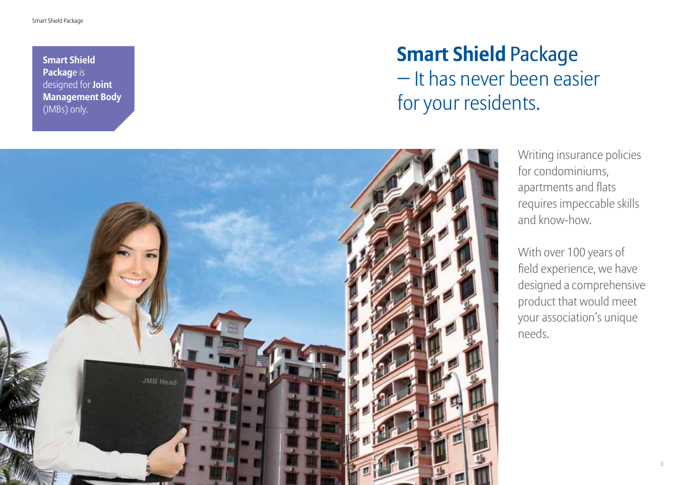**Smart Shield Packag**e is designed for **Joint Management Body**  (JMBs) only.

# **Smart Shield** Package − It has never been easier for your residents.



Writing insurance policies for condominiums, apartments and flats requires impeccable skills and know-how.

With over 100 years of field experience, we have designed a comprehensive product that would meet your association's unique needs.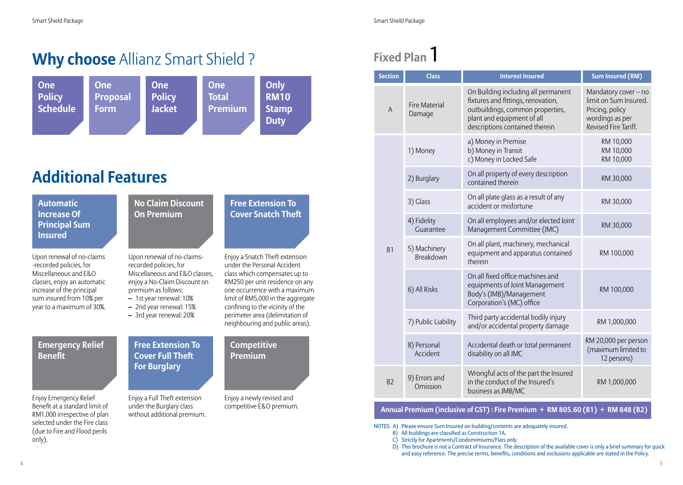## **Why choose** Allianz Smart Shield ?



## **Additional Features**

**Automatic Increase Of Principal Sum Insured**

Upon renewal of no-claims -recorded policies, for Miscellaneous and E&O classes, enjoy an automatic increase of the principal sum insured from 10% per year to a maximum of 30%.



#### **Emergency Relief Benefit**

Enjoy Emergency Relief Benefit at a standard limit of RM1,000 irrespective of plan selected under the Fire class (due to Fire and Flood perils only).

## **Cover Full Theft For Burglary**

Enjoy a Full Theft extension under the Burglary class without additional premium.

#### **Competitive Premium**

**Free Extension To Cover Snatch Theft**

Enjoy a newly revised and competitive E&O premium.

## **Fixed Plan** 1

| <b>Section</b> | <b>Class</b>                     | <b>Interest Insured</b>                                                                                                                                                       | <b>Sum Insured (RM)</b>                                                                                     |
|----------------|----------------------------------|-------------------------------------------------------------------------------------------------------------------------------------------------------------------------------|-------------------------------------------------------------------------------------------------------------|
| $\overline{A}$ | <b>Fire Material</b><br>Damage   | On Building including all permanent<br>fixtures and fittings, renovation,<br>outbuildings, common properties,<br>plant and equipment of all<br>descriptions contained therein | Mandatory cover - no<br>limit on Sum Insured.<br>Pricing, policy<br>wordings as per<br>Revised Fire Tariff. |
| B1             | 1) Money                         | a) Money in Premise<br>b) Money in Transit<br>c) Money in Locked Safe                                                                                                         | RM 10,000<br>RM 10,000<br>RM 10,000                                                                         |
|                | 2) Burglary                      | On all property of every description<br>contained therein                                                                                                                     | RM 30,000                                                                                                   |
|                | 3) Glass                         | On all plate glass as a result of any<br>accident or misfortune                                                                                                               | RM 30,000                                                                                                   |
|                | 4) Fidelity<br>Guarantee         | On all employees and/or elected Joint<br>Management Committee (JMC)                                                                                                           | RM 30,000                                                                                                   |
|                | 5) Machinery<br><b>Breakdown</b> | On all plant, machinery, mechanical<br>equipment and apparatus contained<br>therein                                                                                           | RM 100,000                                                                                                  |
|                | 6) All Risks                     | On all fixed office machines and<br>equipments of Joint Management<br>Body's (JMB)/Management<br>Corporation's (MC) office                                                    | RM 100,000                                                                                                  |
|                | 7) Public Liability              | Third party accidental bodily injury<br>and/or accidental property damage                                                                                                     | RM 1,000,000                                                                                                |
|                | 8) Personal<br>Accident          | Accidental death or total permanent<br>disability on all JMC                                                                                                                  | RM 20,000 per person<br>(maximum limited to<br>12 persons)                                                  |
| B <sub>2</sub> | 9) Errors and<br>Omission        | Wrongful acts of the part the Insured<br>in the conduct of the Insured's<br>business as JMB/MC                                                                                | RM 1,000,000                                                                                                |

#### **Annual Premium (inclusive of GST) : Fire Premium + RM 805.60 (B1) + RM 848 (B2)**

NOTES: A) Please ensure Sum Insured on building/contents are adequately insured.

- B) All buildings are classified as Construction 1A.
- C) Strictly for Apartments/Condomimiums/Flats only.

D) This brochure is not a Contract of Insurance. The description of the available cover is only a brief summary for quick and easy reference. The precise terms, benefits, conditions and exclusions applicable are stated in the Policy.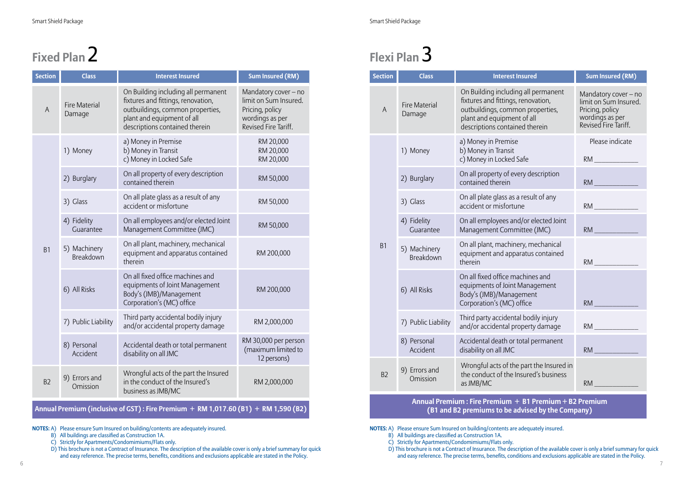# **Fixed Plan** 2

| <b>Section</b> | <b>Class</b>                     | <b>Interest Insured</b>                                                                                                                                                       | <b>Sum Insured (RM)</b>                                                                                     |
|----------------|----------------------------------|-------------------------------------------------------------------------------------------------------------------------------------------------------------------------------|-------------------------------------------------------------------------------------------------------------|
| A              | <b>Fire Material</b><br>Damage   | On Building including all permanent<br>fixtures and fittings, renovation,<br>outbuildings, common properties,<br>plant and equipment of all<br>descriptions contained therein | Mandatory cover - no<br>limit on Sum Insured.<br>Pricing, policy<br>wordings as per<br>Revised Fire Tariff. |
| B1             | 1) Money                         | a) Money in Premise<br>b) Money in Transit<br>c) Money in Locked Safe                                                                                                         | RM 20,000<br>RM 20,000<br>RM 20,000                                                                         |
|                | 2) Burglary                      | On all property of every description<br>contained therein                                                                                                                     | RM 50,000                                                                                                   |
|                | 3) Glass                         | On all plate glass as a result of any<br>accident or misfortune                                                                                                               | RM 50,000                                                                                                   |
|                | 4) Fidelity<br>Guarantee         | On all employees and/or elected Joint<br>Management Committee (JMC)                                                                                                           | RM 50,000                                                                                                   |
|                | 5) Machinery<br><b>Breakdown</b> | On all plant, machinery, mechanical<br>equipment and apparatus contained<br>therein                                                                                           | RM 200,000                                                                                                  |
|                | 6) All Risks                     | On all fixed office machines and<br>equipments of Joint Management<br>Body's (JMB)/Management<br>Corporation's (MC) office                                                    | RM 200,000                                                                                                  |
|                | 7) Public Liability              | Third party accidental bodily injury<br>and/or accidental property damage                                                                                                     | RM 2,000,000                                                                                                |
|                | 8) Personal<br>Accident          | Accidental death or total permanent<br>disability on all JMC                                                                                                                  | RM 30,000 per person<br>(maximum limited to<br>12 persons)                                                  |
| B <sub>2</sub> | 9) Errors and<br>Omission        | Wrongful acts of the part the Insured<br>in the conduct of the Insured's<br>business as JMB/MC                                                                                | RM 2,000,000                                                                                                |

#### **Annual Premium (inclusive of GST) : Fire Premium + RM 1,017.60 (B1) + RM 1,590 (B2)**

**NOTES:** A) Please ensure Sum Insured on building/contents are adequately insured.

- B) All buildings are classified as Construction 1A.
- C) Strictly for Apartments/Condomimiums/Flats only.

D) This brochure is not a Contract of Insurance. The description of the available cover is only a brief summary for quick and easy reference. The precise terms, benefits, conditions and exclusions applicable are stated in the Policy.

# **Flexi Plan** 3

| <b>Section</b> | <b>Class</b>                   | <b>Interest Insured</b>                                                                                                                                                       | <b>Sum Insured (RM)</b>                                                                                     |
|----------------|--------------------------------|-------------------------------------------------------------------------------------------------------------------------------------------------------------------------------|-------------------------------------------------------------------------------------------------------------|
| $\overline{A}$ | <b>Fire Material</b><br>Damage | On Building including all permanent<br>fixtures and fittings, renovation,<br>outbuildings, common properties,<br>plant and equipment of all<br>descriptions contained therein | Mandatory cover - no<br>limit on Sum Insured.<br>Pricing, policy<br>wordings as per<br>Revised Fire Tariff. |
| <b>B1</b>      | 1) Money                       | a) Money in Premise<br>b) Money in Transit<br>c) Money in Locked Safe                                                                                                         | Please indicate<br>RM <b>RM RM</b>                                                                          |
|                | 2) Burglary                    | On all property of every description<br>contained therein                                                                                                                     | RM                                                                                                          |
|                | 3) Glass                       | On all plate glass as a result of any<br>accident or misfortune                                                                                                               |                                                                                                             |
|                | 4) Fidelity<br>Guarantee       | On all employees and/or elected Joint<br>Management Committee (JMC)                                                                                                           | RM                                                                                                          |
|                | 5) Machinery<br>Breakdown      | On all plant, machinery, mechanical<br>equipment and apparatus contained<br>therein                                                                                           | <b>RM</b>                                                                                                   |
|                | 6) All Risks                   | On all fixed office machines and<br>equipments of Joint Management<br>Body's (JMB)/Management<br>Corporation's (MC) office                                                    | RM <b>RM</b>                                                                                                |
|                | 7) Public Liability            | Third party accidental bodily injury<br>and/or accidental property damage                                                                                                     | $RM$ and the set of $\sim$                                                                                  |
|                | 8) Personal<br>Accident        | Accidental death or total permanent<br>disability on all JMC                                                                                                                  | RM                                                                                                          |
| B <sub>2</sub> | 9) Errors and<br>Omission      | Wrongful acts of the part the Insured in<br>the conduct of the Insured's business<br>as JMB/MC                                                                                | RM -                                                                                                        |

#### **Annual Premium : Fire Premium + B1 Premium + B2 Premium (B1 and B2 premiums to be advised by the Company)**

**NOTES:** A) Please ensure Sum Insured on building/contents are adequately insured.

- B) All buildings are classified as Construction 1A.
- C) Strictly for Apartments/Condomimiums/Flats only.

D) This brochure is not a Contract of Insurance. The description of the available cover is only a brief summary for quick and easy reference. The precise terms, benefits, conditions and exclusions applicable are stated in the Policy.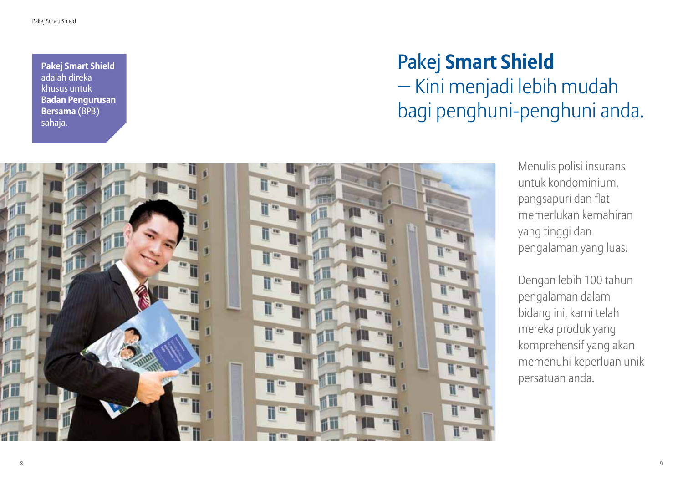**Pakej Smart Shield**  adalah direka khusus untuk **Badan Pengurusan Bersama** (BPB) sahaja.

# Pakej **Smart Shield**

− Kini menjadi lebih mudah bagi penghuni-penghuni anda.



Menulis polisi insurans untuk kondominium, pangsapuri dan flat memerlukan kemahiran yang tinggi dan pengalaman yang luas.

Dengan lebih 100 tahun pengalaman dalam bidang ini, kami telah mereka produk yang komprehensif yang akan memenuhi keperluan unik persatuan anda.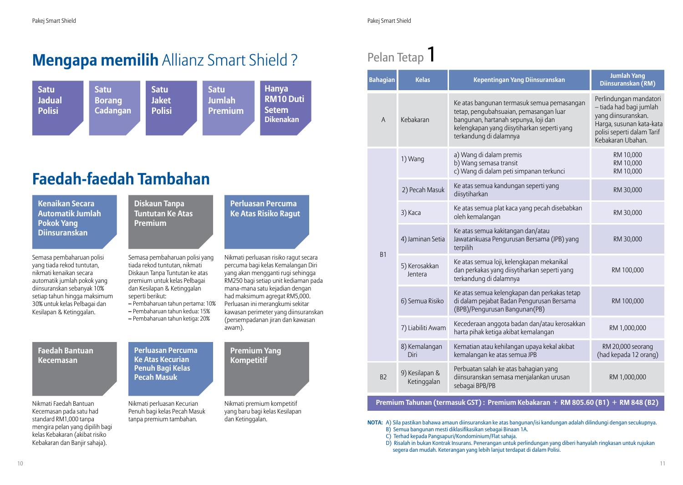## **Mengapa memilih** Allianz Smart Shield ?



## **Faedah-faedah Tambahan**

**Kenaikan Secara Automatik Jumlah Pokok Yang Diinsuranskan**

Semasa pembaharuan polisi yang tiada rekod tuntutan, nikmati kenaikan secara automatik jumlah pokok yang diinsuranskan sebanyak 10% setiap tahun hingga maksimum 30% untuk kelas Pelbagai dan Kesilapan & Ketinggalan.

#### **Diskaun Tanpa Tuntutan Ke Atas Premium**

Semasa pembaharuan polisi yang tiada rekod tuntutan, nikmati Diskaun Tanpa Tuntutan ke atas premium untuk kelas Pelbagai dan Kesilapan & Ketinggalan seperti berikut:

- **–** Pembaharuan tahun pertama: 10% **–** Pembaharuan tahun kedua: 15%
- **–** Pembaharuan tahun ketiga: 20%

#### **Faedah Bantuan Kecemasan**

Nikmati Faedah Bantuan Kecemasan pada satu had standard RM1,000 tanpa mengira pelan yang dipilih bagi kelas Kebakaran (akibat risiko Kebakaran dan Banjir sahaja).

**Perluasan Percuma Ke Atas Kecurian Penuh Bagi Kelas Pecah Masuk**

Nikmati perluasan Kecurian Penuh bagi kelas Pecah Masuk tanpa premium tambahan.

## **Premium Yang Kompetitif**

awam).

**Perluasan Percuma Ke Atas Risiko Ragut**

Nikmati perluasan risiko ragut secara percuma bagi kelas Kemalangan Diri yang akan mengganti rugi sehingga RM250 bagi setiap unit kediaman pada mana-mana satu kejadian dengan had maksimum agregat RM5,000. Perluasan ini merangkumi sekitar kawasan perimeter yang diinsuranskan (persempadanan jiran dan kawasan

Nikmati premium kompetitif yang baru bagi kelas Kesilapan dan Ketinggalan.

## Pelan Tetap<sup>1</sup>

| <b>Bahagian</b> | <b>Kelas</b>                  | Kepentingan Yang Diinsuranskan                                                                                                                                                                        | <b>Jumlah Yang</b><br>Diinsuranskan (RM)                                                                                                                |
|-----------------|-------------------------------|-------------------------------------------------------------------------------------------------------------------------------------------------------------------------------------------------------|---------------------------------------------------------------------------------------------------------------------------------------------------------|
| $\overline{A}$  | Kebakaran                     | Ke atas bangunan termasuk semua pemasangan<br>tetap, pengubahsuaian, pemasangan luar<br>bangunan, hartanah sepunya, loji dan<br>kelengkapan yang diisytiharkan seperti yang<br>terkandung di dalamnya | Perlindungan mandatori<br>- tiada had bagi jumlah<br>yang diinsuranskan.<br>Harga, susunan kata-kata<br>polisi seperti dalam Tarif<br>Kebakaran Ubahan. |
| <b>B1</b>       | 1) Wang                       | a) Wang di dalam premis<br>b) Wang semasa transit<br>c) Wang di dalam peti simpanan terkunci                                                                                                          | RM 10,000<br>RM 10,000<br>RM 10,000                                                                                                                     |
|                 | 2) Pecah Masuk                | Ke atas semua kandungan seperti yang<br>diisytiharkan                                                                                                                                                 | RM 30,000                                                                                                                                               |
|                 | 3) Kaca                       | Ke atas semua plat kaca yang pecah disebabkan<br>oleh kemalangan                                                                                                                                      | RM 30,000                                                                                                                                               |
|                 | 4) Jaminan Setia              | Ke atas semua kakitangan dan/atau<br>Jawatankuasa Pengurusan Bersama (JPB) yang<br>terpilih                                                                                                           | RM 30,000                                                                                                                                               |
|                 | 5) Kerosakkan<br>Jentera      | Ke atas semua loji, kelengkapan mekanikal<br>dan perkakas yang diisytiharkan seperti yang<br>terkandung di dalamnya                                                                                   | RM 100,000                                                                                                                                              |
|                 | 6) Semua Risiko               | Ke atas semua kelengkapan dan perkakas tetap<br>di dalam pejabat Badan Pengurusan Bersama<br>(BPB)/Pengurusan Bangunan(PB)                                                                            | RM 100,000                                                                                                                                              |
|                 | 7) Liabiliti Awam             | Kecederaan anggota badan dan/atau kerosakkan<br>harta pihak ketiga akibat kemalangan                                                                                                                  | RM 1,000,000                                                                                                                                            |
|                 | 8) Kemalangan<br>Diri         | Kematian atau kehilangan upaya kekal akibat<br>kemalangan ke atas semua JPB                                                                                                                           | RM 20,000 seorang<br>(had kepada 12 orang)                                                                                                              |
| B <sub>2</sub>  | 9) Kesilapan &<br>Ketinggalan | Perbuatan salah ke atas bahagian yang<br>diinsuranskan semasa menjalankan urusan<br>sebagai BPB/PB                                                                                                    | RM 1,000,000                                                                                                                                            |

#### **Premium Tahunan (termasuk GST) : Premium Kebakaran + RM 805.60 (B1) + RM 848 (B2)**

**NOTA:** A) Sila pastikan bahawa amaun diinsuranskan ke atas bangunan/isi kandungan adalah dilindungi dengan secukupnya.

- B) Semua bangunan mesti diklasifikasikan sebagai Binaan 1A.
- C) Terhad kepada Pangsapuri/Kondominium/Flat sahaja.
- D) Risalah in bukan Kontrak Insurans. Penerangan untuk perlindungan yang diberi hanyalah ringkasan untuk rujukan segera dan mudah. Keterangan yang lebih lanjut terdapat di dalam Polisi.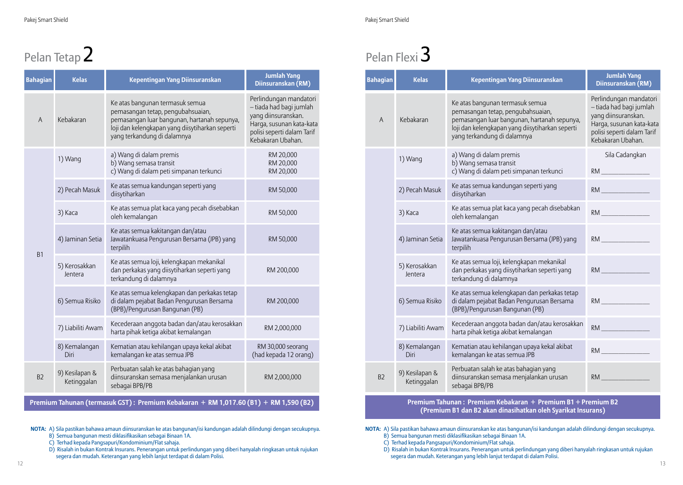# Pelan Tetap 2

| <b>Bahagian</b> | <b>Kelas</b>                  | Kepentingan Yang Diinsuranskan                                                                                                                                                                        | <b>Jumlah Yang</b><br>Diinsuranskan (RM)                                                                                                                |
|-----------------|-------------------------------|-------------------------------------------------------------------------------------------------------------------------------------------------------------------------------------------------------|---------------------------------------------------------------------------------------------------------------------------------------------------------|
| $\overline{A}$  | Kebakaran                     | Ke atas bangunan termasuk semua<br>pemasangan tetap, pengubahsuaian,<br>pemasangan luar bangunan, hartanah sepunya,<br>loji dan kelengkapan yang diisytiharkan seperti<br>yang terkandung di dalamnya | Perlindungan mandatori<br>- tiada had bagi jumlah<br>yang diinsuranskan.<br>Harga, susunan kata-kata<br>polisi seperti dalam Tarif<br>Kebakaran Ubahan. |
| <b>B1</b>       | 1) Wang                       | a) Wang di dalam premis<br>b) Wang semasa transit<br>c) Wang di dalam peti simpanan terkunci                                                                                                          | RM 20,000<br>RM 20,000<br>RM 20,000                                                                                                                     |
|                 | 2) Pecah Masuk                | Ke atas semua kandungan seperti yang<br>diisytiharkan                                                                                                                                                 | RM 50,000                                                                                                                                               |
|                 | 3) Kaca                       | Ke atas semua plat kaca yang pecah disebabkan<br>oleh kemalangan                                                                                                                                      | RM 50,000                                                                                                                                               |
|                 | 4) Jaminan Setia              | Ke atas semua kakitangan dan/atau<br>Jawatankuasa Pengurusan Bersama (JPB) yang<br>terpilih                                                                                                           | RM 50,000                                                                                                                                               |
|                 | 5) Kerosakkan<br>Jentera      | Ke atas semua loji, kelengkapan mekanikal<br>dan perkakas yang diisytiharkan seperti yang<br>terkandung di dalamnya                                                                                   | RM 200,000                                                                                                                                              |
|                 | 6) Semua Risiko               | Ke atas semua kelengkapan dan perkakas tetap<br>di dalam pejabat Badan Pengurusan Bersama<br>(BPB)/Pengurusan Bangunan (PB)                                                                           | RM 200,000                                                                                                                                              |
|                 | 7) Liabiliti Awam             | Kecederaan anggota badan dan/atau kerosakkan<br>harta pihak ketiga akibat kemalangan                                                                                                                  | RM 2,000,000                                                                                                                                            |
|                 | 8) Kemalangan<br>Diri         | Kematian atau kehilangan upaya kekal akibat<br>kemalangan ke atas semua JPB                                                                                                                           | RM 30,000 seorang<br>(had kepada 12 orang)                                                                                                              |
| B <sub>2</sub>  | 9) Kesilapan &<br>Ketinggalan | Perbuatan salah ke atas bahagian yang<br>diinsuranskan semasa menjalankan urusan<br>sebagai BPB/PB                                                                                                    | RM 2,000,000                                                                                                                                            |

**Premium Tahunan (termasuk GST) : Premium Kebakaran + RM 1,017.60 (B1) + RM 1,590 (B2)**

**NOTA:** A) Sila pastikan bahawa amaun diinsuranskan ke atas bangunan/isi kandungan adalah dilindungi dengan secukupnya.

- B) Semua bangunan mesti diklasifikasikan sebagai Binaan 1A.
- C) Terhad kepada Pangsapuri/Kondominium/Flat sahaja.
- D) Risalah in bukan Kontrak Insurans. Penerangan untuk perlindungan yang diberi hanyalah ringkasan untuk rujukan segera dan mudah. Keterangan yang lebih lanjut terdapat di dalam Polisi.

## Pelan Flexi<sup>3</sup>

| <b>Bahagian</b> | <b>Kelas</b>                  | <b>Kepentingan Yang Diinsuranskan</b>                                                                                                                                                                 | <b>Jumlah Yang</b><br>Diinsuranskan (RM)                                                                                                                |
|-----------------|-------------------------------|-------------------------------------------------------------------------------------------------------------------------------------------------------------------------------------------------------|---------------------------------------------------------------------------------------------------------------------------------------------------------|
| A               | Kebakaran                     | Ke atas bangunan termasuk semua<br>pemasangan tetap, pengubahsuaian,<br>pemasangan luar bangunan, hartanah sepunya,<br>loji dan kelengkapan yang diisytiharkan seperti<br>yang terkandung di dalamnya | Perlindungan mandatori<br>- tiada had bagi jumlah<br>yang diinsuranskan.<br>Harga, susunan kata-kata<br>polisi seperti dalam Tarif<br>Kebakaran Ubahan. |
|                 | 1) Wang                       | a) Wang di dalam premis<br>b) Wang semasa transit<br>c) Wang di dalam peti simpanan terkunci                                                                                                          | Sila Cadangkan<br>RM <b>RM Example 2008</b>                                                                                                             |
|                 | 2) Pecah Masuk                | Ke atas semua kandungan seperti yang<br>diisytiharkan                                                                                                                                                 | RM <b>RM RM RM</b>                                                                                                                                      |
|                 | 3) Kaca                       | Ke atas semua plat kaca yang pecah disebabkan<br>oleh kemalangan                                                                                                                                      | RM <b>RM Example 2008</b>                                                                                                                               |
|                 | 4) Jaminan Setia              | Ke atas semua kakitangan dan/atau<br>Jawatankuasa Pengurusan Bersama (JPB) yang<br>terpilih                                                                                                           | RM <b>RM Extending the State State State</b>                                                                                                            |
|                 | 5) Kerosakkan<br>Jentera      | Ke atas semua loji, kelengkapan mekanikal<br>dan perkakas yang diisytiharkan seperti yang<br>terkandung di dalamnya                                                                                   |                                                                                                                                                         |
|                 | 6) Semua Risiko               | Ke atas semua kelengkapan dan perkakas tetap<br>di dalam pejabat Badan Pengurusan Bersama<br>(BPB)/Pengurusan Bangunan (PB)                                                                           | RM                                                                                                                                                      |
|                 | 7) Liabiliti Awam             | Kecederaan anggota badan dan/atau kerosakkan<br>harta pihak ketiga akibat kemalangan                                                                                                                  | RM <b>Exercise State</b>                                                                                                                                |
|                 | 8) Kemalangan<br>Diri         | Kematian atau kehilangan upaya kekal akibat<br>kemalangan ke atas semua JPB                                                                                                                           | RM <b>RM Example 2008</b>                                                                                                                               |
| B2              | 9) Kesilapan &<br>Ketinggalan | Perbuatan salah ke atas bahagian yang<br>diinsuranskan semasa menjalankan urusan<br>sebagai BPB/PB                                                                                                    | RM <b>RM RM RM</b>                                                                                                                                      |

**Premium Tahunan : Premium Kebakaran + Premium B1 + Premium B2 (Premium B1 dan B2 akan dinasihatkan oleh Syarikat Insurans)**

**NOTA:** A) Sila pastikan bahawa amaun diinsuranskan ke atas bangunan/isi kandungan adalah dilindungi dengan secukupnya.

- B) Semua bangunan mesti diklasifikasikan sebagai Binaan 1A.
- C) Terhad kepada Pangsapuri/Kondominium/Flat sahaja.

D) Risalah in bukan Kontrak Insurans. Penerangan untuk perlindungan yang diberi hanyalah ringkasan untuk rujukan segera dan mudah. Keterangan yang lebih lanjut terdapat di dalam Polisi.